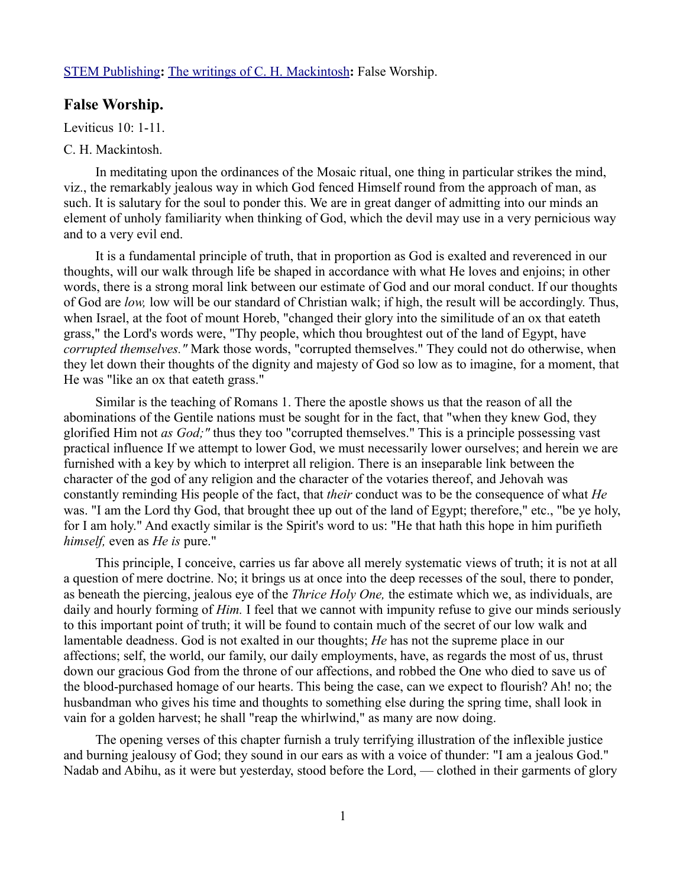## [STEM Publishing](http://www.stempublishing.com/)**:** [The writings of C. H. Mackintosh](http://www.stempublishing.com/authors/mackintosh/index.html)**:** False Worship.

## **False Worship.**

Leviticus 10: 1-11.

## C. H. Mackintosh.

In meditating upon the ordinances of the Mosaic ritual, one thing in particular strikes the mind, viz., the remarkably jealous way in which God fenced Himself round from the approach of man, as such. It is salutary for the soul to ponder this. We are in great danger of admitting into our minds an element of unholy familiarity when thinking of God, which the devil may use in a very pernicious way and to a very evil end.

It is a fundamental principle of truth, that in proportion as God is exalted and reverenced in our thoughts, will our walk through life be shaped in accordance with what He loves and enjoins; in other words, there is a strong moral link between our estimate of God and our moral conduct. If our thoughts of God are *low,* low will be our standard of Christian walk; if high, the result will be accordingly. Thus, when Israel, at the foot of mount Horeb, "changed their glory into the similitude of an ox that eateth grass," the Lord's words were, "Thy people, which thou broughtest out of the land of Egypt, have *corrupted themselves."* Mark those words, "corrupted themselves." They could not do otherwise, when they let down their thoughts of the dignity and majesty of God so low as to imagine, for a moment, that He was "like an ox that eateth grass."

Similar is the teaching of Romans 1. There the apostle shows us that the reason of all the abominations of the Gentile nations must be sought for in the fact, that "when they knew God, they glorified Him not *as God;"* thus they too "corrupted themselves." This is a principle possessing vast practical influence If we attempt to lower God, we must necessarily lower ourselves; and herein we are furnished with a key by which to interpret all religion. There is an inseparable link between the character of the god of any religion and the character of the votaries thereof, and Jehovah was constantly reminding His people of the fact, that *their* conduct was to be the consequence of what *He* was. "I am the Lord thy God, that brought thee up out of the land of Egypt; therefore," etc., "be ye holy, for I am holy." And exactly similar is the Spirit's word to us: "He that hath this hope in him purifieth *himself,* even as *He is* pure."

This principle, I conceive, carries us far above all merely systematic views of truth; it is not at all a question of mere doctrine. No; it brings us at once into the deep recesses of the soul, there to ponder, as beneath the piercing, jealous eye of the *Thrice Holy One,* the estimate which we, as individuals, are daily and hourly forming of *Him.* I feel that we cannot with impunity refuse to give our minds seriously to this important point of truth; it will be found to contain much of the secret of our low walk and lamentable deadness. God is not exalted in our thoughts; *He* has not the supreme place in our affections; self, the world, our family, our daily employments, have, as regards the most of us, thrust down our gracious God from the throne of our affections, and robbed the One who died to save us of the blood-purchased homage of our hearts. This being the case, can we expect to flourish? Ah! no; the husbandman who gives his time and thoughts to something else during the spring time, shall look in vain for a golden harvest; he shall "reap the whirlwind," as many are now doing.

The opening verses of this chapter furnish a truly terrifying illustration of the inflexible justice and burning jealousy of God; they sound in our ears as with a voice of thunder: "I am a jealous God." Nadab and Abihu, as it were but yesterday, stood before the Lord, — clothed in their garments of glory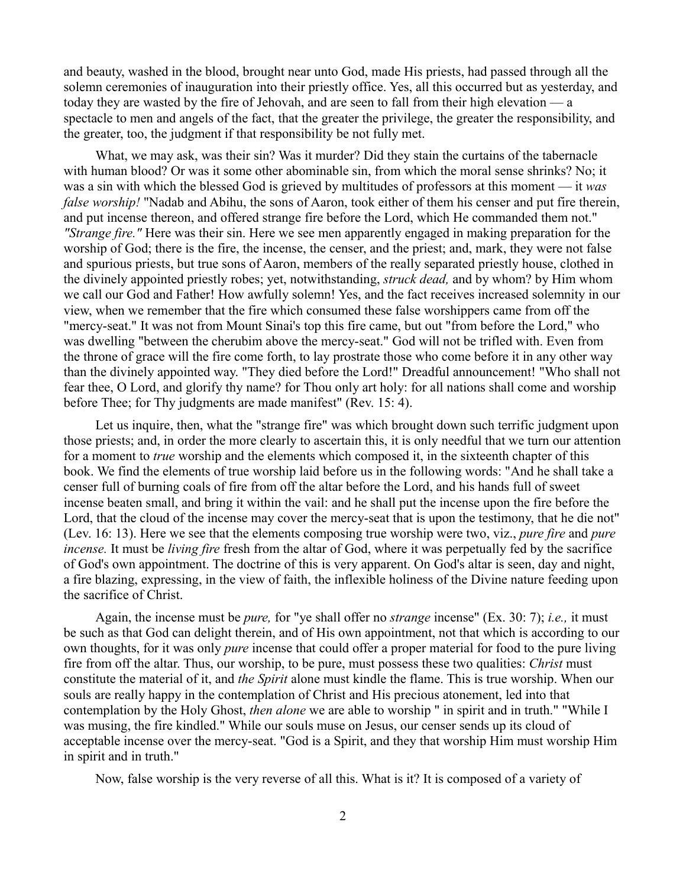and beauty, washed in the blood, brought near unto God, made His priests, had passed through all the solemn ceremonies of inauguration into their priestly office. Yes, all this occurred but as yesterday, and today they are wasted by the fire of Jehovah, and are seen to fall from their high elevation — a spectacle to men and angels of the fact, that the greater the privilege, the greater the responsibility, and the greater, too, the judgment if that responsibility be not fully met.

What, we may ask, was their sin? Was it murder? Did they stain the curtains of the tabernacle with human blood? Or was it some other abominable sin, from which the moral sense shrinks? No; it was a sin with which the blessed God is grieved by multitudes of professors at this moment — it *was false worship!* "Nadab and Abihu, the sons of Aaron, took either of them his censer and put fire therein, and put incense thereon, and offered strange fire before the Lord, which He commanded them not." *"Strange fire."* Here was their sin. Here we see men apparently engaged in making preparation for the worship of God; there is the fire, the incense, the censer, and the priest; and, mark, they were not false and spurious priests, but true sons of Aaron, members of the really separated priestly house, clothed in the divinely appointed priestly robes; yet, notwithstanding, *struck dead,* and by whom? by Him whom we call our God and Father! How awfully solemn! Yes, and the fact receives increased solemnity in our view, when we remember that the fire which consumed these false worshippers came from off the "mercy-seat." It was not from Mount Sinai's top this fire came, but out "from before the Lord," who was dwelling "between the cherubim above the mercy-seat." God will not be trifled with. Even from the throne of grace will the fire come forth, to lay prostrate those who come before it in any other way than the divinely appointed way. "They died before the Lord!" Dreadful announcement! "Who shall not fear thee, O Lord, and glorify thy name? for Thou only art holy: for all nations shall come and worship before Thee; for Thy judgments are made manifest" (Rev. 15: 4).

Let us inquire, then, what the "strange fire" was which brought down such terrific judgment upon those priests; and, in order the more clearly to ascertain this, it is only needful that we turn our attention for a moment to *true* worship and the elements which composed it, in the sixteenth chapter of this book. We find the elements of true worship laid before us in the following words: "And he shall take a censer full of burning coals of fire from off the altar before the Lord, and his hands full of sweet incense beaten small, and bring it within the vail: and he shall put the incense upon the fire before the Lord, that the cloud of the incense may cover the mercy-seat that is upon the testimony, that he die not" (Lev. 16: 13). Here we see that the elements composing true worship were two, viz., *pure fire* and *pure incense.* It must be *living fire* fresh from the altar of God, where it was perpetually fed by the sacrifice of God's own appointment. The doctrine of this is very apparent. On God's altar is seen, day and night, a fire blazing, expressing, in the view of faith, the inflexible holiness of the Divine nature feeding upon the sacrifice of Christ.

Again, the incense must be *pure,* for "ye shall offer no *strange* incense" (Ex. 30: 7); *i.e.,* it must be such as that God can delight therein, and of His own appointment, not that which is according to our own thoughts, for it was only *pure* incense that could offer a proper material for food to the pure living fire from off the altar. Thus, our worship, to be pure, must possess these two qualities: *Christ* must constitute the material of it, and *the Spirit* alone must kindle the flame. This is true worship. When our souls are really happy in the contemplation of Christ and His precious atonement, led into that contemplation by the Holy Ghost, *then alone* we are able to worship " in spirit and in truth." "While I was musing, the fire kindled." While our souls muse on Jesus, our censer sends up its cloud of acceptable incense over the mercy-seat. "God is a Spirit, and they that worship Him must worship Him in spirit and in truth."

Now, false worship is the very reverse of all this. What is it? It is composed of a variety of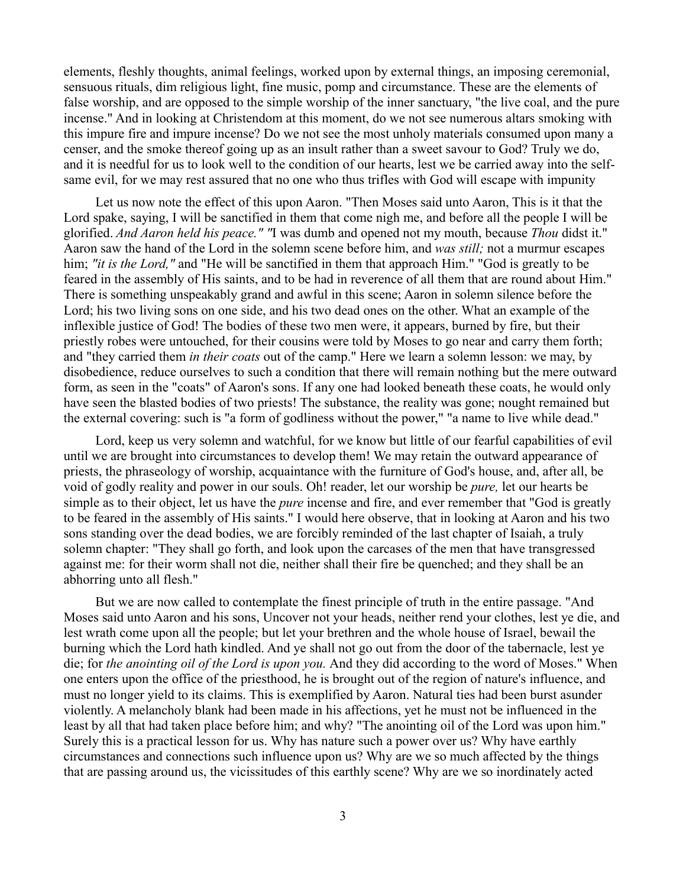elements, fleshly thoughts, animal feelings, worked upon by external things, an imposing ceremonial, sensuous rituals, dim religious light, fine music, pomp and circumstance. These are the elements of false worship, and are opposed to the simple worship of the inner sanctuary, "the live coal, and the pure incense." And in looking at Christendom at this moment, do we not see numerous altars smoking with this impure fire and impure incense? Do we not see the most unholy materials consumed upon many a censer, and the smoke thereof going up as an insult rather than a sweet savour to God? Truly we do, and it is needful for us to look well to the condition of our hearts, lest we be carried away into the selfsame evil, for we may rest assured that no one who thus trifles with God will escape with impunity

Let us now note the effect of this upon Aaron. "Then Moses said unto Aaron, This is it that the Lord spake, saying, I will be sanctified in them that come nigh me, and before all the people I will be glorified. *And Aaron held his peace." "*I was dumb and opened not my mouth, because *Thou* didst it." Aaron saw the hand of the Lord in the solemn scene before him, and *was still;* not a murmur escapes him; *"it is the Lord*," and "He will be sanctified in them that approach Him." "God is greatly to be feared in the assembly of His saints, and to be had in reverence of all them that are round about Him." There is something unspeakably grand and awful in this scene; Aaron in solemn silence before the Lord; his two living sons on one side, and his two dead ones on the other. What an example of the inflexible justice of God! The bodies of these two men were, it appears, burned by fire, but their priestly robes were untouched, for their cousins were told by Moses to go near and carry them forth; and "they carried them *in their coats* out of the camp." Here we learn a solemn lesson: we may, by disobedience, reduce ourselves to such a condition that there will remain nothing but the mere outward form, as seen in the "coats" of Aaron's sons. If any one had looked beneath these coats, he would only have seen the blasted bodies of two priests! The substance, the reality was gone; nought remained but the external covering: such is "a form of godliness without the power," "a name to live while dead."

Lord, keep us very solemn and watchful, for we know but little of our fearful capabilities of evil until we are brought into circumstances to develop them! We may retain the outward appearance of priests, the phraseology of worship, acquaintance with the furniture of God's house, and, after all, be void of godly reality and power in our souls. Oh! reader, let our worship be *pure,* let our hearts be simple as to their object, let us have the *pure* incense and fire, and ever remember that "God is greatly to be feared in the assembly of His saints." I would here observe, that in looking at Aaron and his two sons standing over the dead bodies, we are forcibly reminded of the last chapter of Isaiah, a truly solemn chapter: "They shall go forth, and look upon the carcases of the men that have transgressed against me: for their worm shall not die, neither shall their fire be quenched; and they shall be an abhorring unto all flesh."

But we are now called to contemplate the finest principle of truth in the entire passage. "And Moses said unto Aaron and his sons, Uncover not your heads, neither rend your clothes, lest ye die, and lest wrath come upon all the people; but let your brethren and the whole house of Israel, bewail the burning which the Lord hath kindled. And ye shall not go out from the door of the tabernacle, lest ye die; for *the anointing oil of the Lord is upon you.* And they did according to the word of Moses." When one enters upon the office of the priesthood, he is brought out of the region of nature's influence, and must no longer yield to its claims. This is exemplified by Aaron. Natural ties had been burst asunder violently. A melancholy blank had been made in his affections, yet he must not be influenced in the least by all that had taken place before him; and why? "The anointing oil of the Lord was upon him." Surely this is a practical lesson for us. Why has nature such a power over us? Why have earthly circumstances and connections such influence upon us? Why are we so much affected by the things that are passing around us, the vicissitudes of this earthly scene? Why are we so inordinately acted